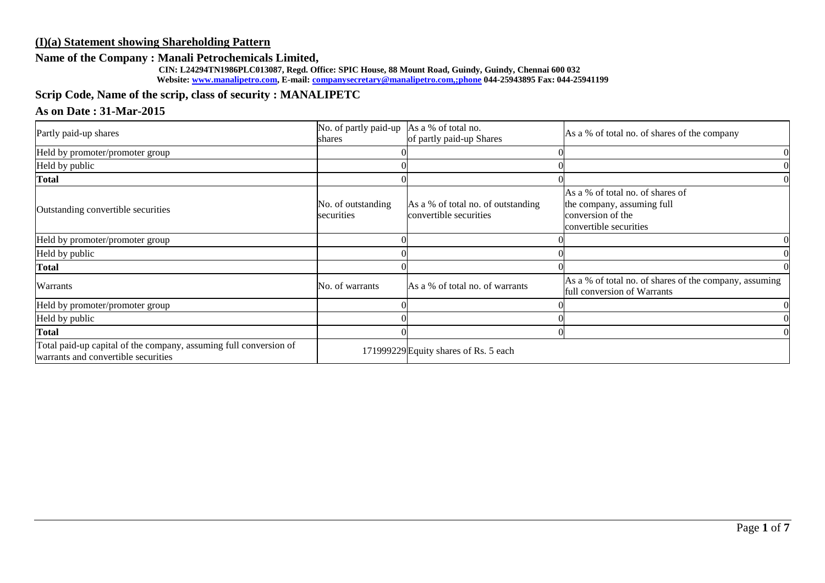# **(I)(a) Statement showing Shareholding Pattern**

# **Name of the Company : Manali Petrochemicals Limited,**

 **CIN: L24294TN1986PLC013087, Regd. Office: SPIC House, 88 Mount Road, Guindy, Guindy, Chennai 600 032 Website: [www.manalipetro.com,](http://www.manalipetro.com/) E-mail[: companysecretary@manalipetro.com,;phone](mailto:companysecretary@manalipetro.com,;phone) 044-25943895 Fax: 044-25941199**

# **Scrip Code, Name of the scrip, class of security : MANALIPETC**

# **As on Date : 31-Mar-2015**

| Partly paid-up shares                                                                                    | No. of partly paid-up As a % of total no.<br>shares | of partly paid-up Shares                                     | As a % of total no. of shares of the company                                                                  |
|----------------------------------------------------------------------------------------------------------|-----------------------------------------------------|--------------------------------------------------------------|---------------------------------------------------------------------------------------------------------------|
| Held by promoter/promoter group                                                                          |                                                     |                                                              |                                                                                                               |
| Held by public                                                                                           |                                                     |                                                              |                                                                                                               |
| <b>Total</b>                                                                                             |                                                     |                                                              |                                                                                                               |
| Outstanding convertible securities                                                                       | No. of outstanding<br>securities                    | As a % of total no. of outstanding<br>convertible securities | As a % of total no. of shares of<br>the company, assuming full<br>conversion of the<br>convertible securities |
| Held by promoter/promoter group                                                                          |                                                     |                                                              |                                                                                                               |
| Held by public                                                                                           |                                                     |                                                              |                                                                                                               |
| <b>Total</b>                                                                                             |                                                     |                                                              |                                                                                                               |
| Warrants                                                                                                 | No. of warrants                                     | As a % of total no. of warrants                              | As a % of total no. of shares of the company, assuming<br>full conversion of Warrants                         |
| Held by promoter/promoter group                                                                          |                                                     |                                                              |                                                                                                               |
| Held by public                                                                                           |                                                     |                                                              |                                                                                                               |
| <b>Total</b>                                                                                             |                                                     |                                                              |                                                                                                               |
| Total paid-up capital of the company, assuming full conversion of<br>warrants and convertible securities |                                                     | 171999229 Equity shares of Rs. 5 each                        |                                                                                                               |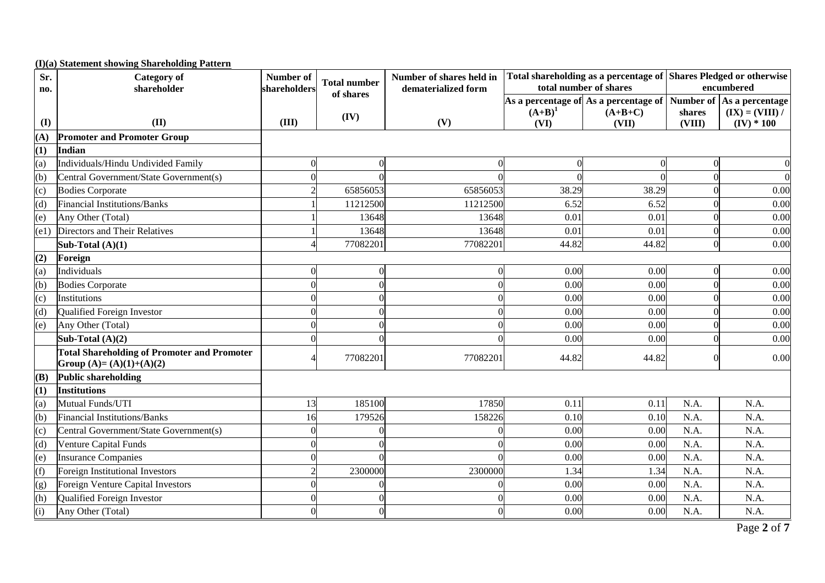|      | (I)(a) Statement showing Shareholding Pattern                                  |              |                     |                          |           |                                                                                  |              |                   |
|------|--------------------------------------------------------------------------------|--------------|---------------------|--------------------------|-----------|----------------------------------------------------------------------------------|--------------|-------------------|
| Sr.  | <b>Category</b> of                                                             | Number of    | <b>Total number</b> | Number of shares held in |           | Total shareholding as a percentage of Shares Pledged or otherwise                |              |                   |
| no.  | shareholder                                                                    | shareholders | of shares           | dematerialized form      |           | total number of shares                                                           |              | encumbered        |
|      |                                                                                |              |                     |                          | $(A+B)^1$ | As a percentage of As a percentage of Number of $ $ As a percentage<br>$(A+B+C)$ | shares       | $(IX) = (VIII) /$ |
| (I)  | (II)                                                                           | (III)        | (IV)                | (V)                      | (VI)      | (VII)                                                                            | (VIII)       | $(IV) * 100$      |
| (A)  | <b>Promoter and Promoter Group</b>                                             |              |                     |                          |           |                                                                                  |              |                   |
| (1)  | Indian                                                                         |              |                     |                          |           |                                                                                  |              |                   |
| (a)  | Individuals/Hindu Undivided Family                                             | $\Omega$     | $\mathbf{0}$        | 0                        |           | $\Omega$                                                                         | $\mathbf{0}$ | $\Omega$          |
| (b)  | Central Government/State Government(s)                                         |              |                     |                          |           |                                                                                  | $\Omega$     | $\Omega$          |
| (c)  | <b>Bodies Corporate</b>                                                        |              | 65856053            | 65856053                 | 38.29     | 38.29                                                                            |              | 0.00              |
| (d)  | <b>Financial Institutions/Banks</b>                                            |              | 11212500            | 11212500                 | 6.52      | 6.52                                                                             |              | 0.00              |
| (e)  | Any Other (Total)                                                              |              | 13648               | 13648                    | 0.01      | 0.01                                                                             |              | 0.00              |
| (e1) | Directors and Their Relatives                                                  |              | 13648               | 13648                    | 0.01      | 0.01                                                                             | $\Omega$     | 0.00              |
|      | Sub-Total $(A)(1)$                                                             |              | 77082201            | 77082201                 | 44.82     | 44.82                                                                            | $\Omega$     | 0.00              |
| (2)  | Foreign                                                                        |              |                     |                          |           |                                                                                  |              |                   |
| (a)  | Individuals                                                                    |              | $\overline{0}$      | $\Omega$                 | 0.00      | 0.00                                                                             | $\Omega$     | 0.00              |
| (b)  | <b>Bodies Corporate</b>                                                        |              | $\Omega$            | $\Omega$                 | 0.00      | 0.00                                                                             | $\Omega$     | 0.00              |
| (c)  | Institutions                                                                   |              | $\Omega$            | 0                        | 0.00      | 0.00                                                                             | $\Omega$     | 0.00              |
| (d)  | Qualified Foreign Investor                                                     |              |                     |                          | 0.00      | 0.00                                                                             |              | 0.00              |
| (e)  | Any Other (Total)                                                              |              | $\Omega$            | ∩                        | 0.00      | 0.00                                                                             | 0            | 0.00              |
|      | Sub-Total $(A)(2)$                                                             |              |                     | $\Omega$                 | 0.00      | 0.00                                                                             |              | 0.00              |
|      | <b>Total Shareholding of Promoter and Promoter</b><br>Group (A)= (A)(1)+(A)(2) |              | 77082201            | 77082201                 | 44.82     | 44.82                                                                            | $\Omega$     | 0.00              |
| (B)  | <b>Public shareholding</b>                                                     |              |                     |                          |           |                                                                                  |              |                   |
| (1)  | <b>Institutions</b>                                                            |              |                     |                          |           |                                                                                  |              |                   |
| (a)  | Mutual Funds/UTI                                                               | 13           | 185100              | 17850                    | 0.11      | 0.11                                                                             | N.A.         | N.A.              |
| (b)  | <b>Financial Institutions/Banks</b>                                            | 16           | 179526              | 158226                   | 0.10      | 0.10                                                                             | N.A.         | N.A.              |
| (c)  | Central Government/State Government(s)                                         | $\Omega$     | $\Omega$            |                          | 0.00      | 0.00                                                                             | N.A.         | N.A.              |
| (d)  | Venture Capital Funds                                                          |              |                     |                          | 0.00      | 0.00                                                                             | N.A.         | N.A.              |
| (e)  | <b>Insurance Companies</b>                                                     |              |                     |                          | 0.00      | 0.00                                                                             | N.A.         | N.A.              |
| (f)  | Foreign Institutional Investors                                                |              | 2300000             | 2300000                  | 1.34      | 1.34                                                                             | N.A.         | N.A.              |
| (g)  | Foreign Venture Capital Investors                                              |              | $\theta$            | 0                        | 0.00      | 0.00                                                                             | N.A.         | N.A.              |
| (h)  | Qualified Foreign Investor                                                     |              | $\Omega$            | $\Omega$                 | 0.00      | 0.00                                                                             | N.A.         | N.A.              |
| (i)  | Any Other (Total)                                                              |              | $\Omega$            | $\Omega$                 | 0.00      | 0.00                                                                             | N.A.         | N.A.              |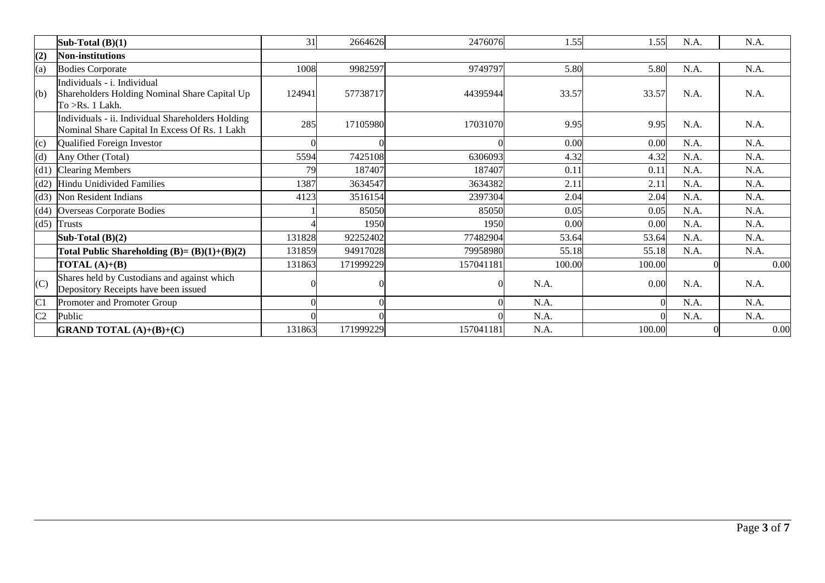|                | Sub-Total $(B)(1)$                                                                                 | 31     | 2664626   | 2476076   | 1.55   | 1.55   | N.A. | N.A. |
|----------------|----------------------------------------------------------------------------------------------------|--------|-----------|-----------|--------|--------|------|------|
| (2)            | <b>Non-institutions</b>                                                                            |        |           |           |        |        |      |      |
| (a)            | <b>Bodies Corporate</b>                                                                            | 1008   | 9982597   | 9749797   | 5.80   | 5.80   | N.A. | N.A. |
| (b)            | Individuals - i. Individual<br>Shareholders Holding Nominal Share Capital Up<br>To > Rs. 1 Lakh.   | 124941 | 57738717  | 44395944  | 33.57  | 33.57  | N.A. | N.A. |
|                | Individuals - ii. Individual Shareholders Holding<br>Nominal Share Capital In Excess Of Rs. 1 Lakh | 285    | 17105980  | 17031070  | 9.95   | 9.95   | N.A. | N.A. |
| (c)            | Qualified Foreign Investor                                                                         |        |           |           | 0.00   | 0.00   | N.A. | N.A. |
| (d)            | Any Other (Total)                                                                                  | 5594   | 7425108   | 6306093   | 4.32   | 4.32   | N.A. | N.A. |
| (d1)           | <b>Clearing Members</b>                                                                            | 79     | 187407    | 187407    | 0.11   | 0.11   | N.A. | N.A. |
| (d2)           | <b>Hindu Unidivided Families</b>                                                                   | 1387   | 3634547   | 3634382   | 2.11   | 2.11   | N.A. | N.A. |
| (d3)           | Non Resident Indians                                                                               | 4123   | 3516154   | 2397304   | 2.04   | 2.04   | N.A. | N.A. |
| (d4)           | Overseas Corporate Bodies                                                                          |        | 85050     | 85050     | 0.05   | 0.05   | N.A. | N.A. |
|                | $(d5)$ Trusts                                                                                      |        | 1950      | 1950      | 0.00   | 0.00   | N.A. | N.A. |
|                | Sub-Total $(B)(2)$                                                                                 | 131828 | 92252402  | 77482904  | 53.64  | 53.64  | N.A. | N.A. |
|                | Total Public Shareholding $(B)=(B)(1)+(B)(2)$                                                      | 131859 | 94917028  | 79958980  | 55.18  | 55.18  | N.A. | N.A. |
|                | TOTAL $(A)+(B)$                                                                                    | 131863 | 171999229 | 157041181 | 100.00 | 100.00 |      | 0.00 |
| (C)            | Shares held by Custodians and against which<br>Depository Receipts have been issued                |        |           |           | N.A.   | 0.00   | N.A. | N.A. |
| C <sub>1</sub> | Promoter and Promoter Group                                                                        |        |           |           | N.A.   |        | N.A. | N.A. |
| C <sub>2</sub> | Public                                                                                             |        |           |           | N.A.   |        | N.A. | N.A. |
|                | <b>GRAND TOTAL</b> (A)+(B)+(C)                                                                     | 131863 | 171999229 | 157041181 | N.A.   | 100.00 |      | 0.00 |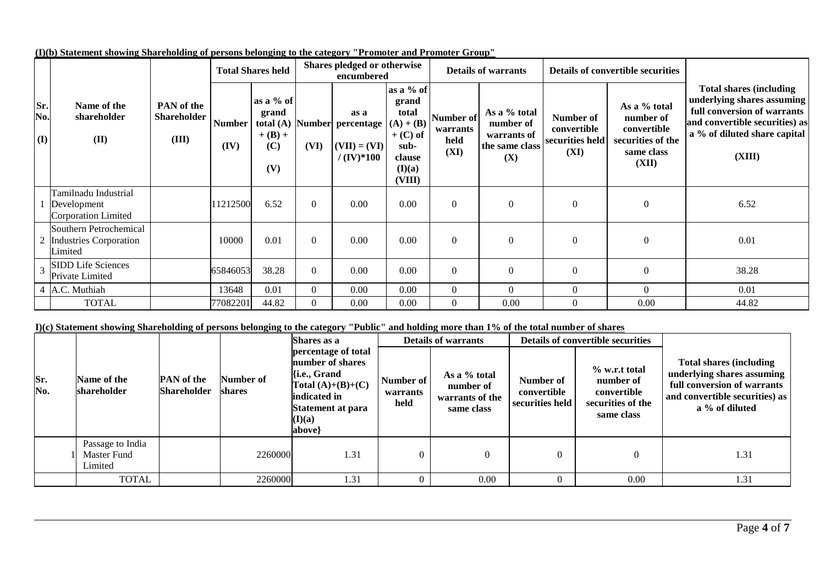|                            |                                                                    |                                                  |                       | <b>Total Shares held</b>                                     |          | Shares pledged or otherwise<br>encumbered                     |                                                                                                                  |                                       | <b>Details of warrants</b>                                        |                                                     | <b>Details of convertible securities</b>                                             |                                                                                                                                                                          |  |
|----------------------------|--------------------------------------------------------------------|--------------------------------------------------|-----------------------|--------------------------------------------------------------|----------|---------------------------------------------------------------|------------------------------------------------------------------------------------------------------------------|---------------------------------------|-------------------------------------------------------------------|-----------------------------------------------------|--------------------------------------------------------------------------------------|--------------------------------------------------------------------------------------------------------------------------------------------------------------------------|--|
| Sr.<br>No.<br>$\mathbf{I}$ | Name of the<br>shareholder<br>(II)                                 | <b>PAN</b> of the<br><b>Shareholder</b><br>(III) | <b>Number</b><br>(IV) | as a % of<br>grand<br>total $(A)$<br>$+ (B) +$<br>(C)<br>(V) | (VI)     | as a<br>Number percentage<br>$(VII) = (VI)$<br>$/ (IV)^* 100$ | as a % of<br>grand<br>total<br>$(\mathbf{A}) + (\mathbf{B})$<br>$+$ (C) of<br>sub-<br>clause<br>(I)(a)<br>(VIII) | Number of<br>warrants<br>held<br>(XI) | As a % total<br>number of<br>warrants of<br>the same class<br>(X) | Number of<br>convertible<br>securities held<br>(XI) | As a % total<br>number of<br>convertible<br>securities of the<br>same class<br>(XII) | <b>Total shares (including)</b><br>underlying shares assuming<br>full conversion of warrants<br>and convertible securities) as<br>a % of diluted share capital<br>(XIII) |  |
|                            | Tamilnadu Industrial<br>Development<br>Corporation Limited         |                                                  | 11212500              | 6.52                                                         | $\Omega$ | 0.00                                                          | 0.00                                                                                                             | $\boldsymbol{0}$                      | $\theta$                                                          | $\mathbf{0}$                                        | $\boldsymbol{0}$                                                                     | 6.52                                                                                                                                                                     |  |
|                            | Southern Petrochemical<br><b>Industries Corporation</b><br>Limited |                                                  | 10000                 | 0.01                                                         | $\Omega$ | 0.00                                                          | 0.00                                                                                                             | $\boldsymbol{0}$                      | $\Omega$                                                          | $\Omega$                                            | $\Omega$                                                                             | 0.01                                                                                                                                                                     |  |
|                            | <b>SIDD Life Sciences</b><br>Private Limited                       |                                                  | 65846053              | 38.28                                                        | $\Omega$ | 0.00                                                          | 0.00                                                                                                             | $\boldsymbol{0}$                      | $\Omega$                                                          | $\boldsymbol{0}$                                    | $\Omega$                                                                             | 38.28                                                                                                                                                                    |  |
|                            | 4 A.C. Muthiah                                                     |                                                  | 13648                 | 0.01                                                         | $\Omega$ | 0.00                                                          | 0.00                                                                                                             | $\boldsymbol{0}$                      | $\theta$                                                          | $\theta$                                            | $\Omega$                                                                             | 0.01                                                                                                                                                                     |  |
|                            | <b>TOTAL</b>                                                       |                                                  | 77082201              | 44.82                                                        | $\Omega$ | 0.00                                                          | 0.00                                                                                                             | $\overline{0}$                        | 0.00                                                              | $\theta$                                            | 0.00                                                                                 | 44.82                                                                                                                                                                    |  |

**(I)(b) Statement showing Shareholding of persons belonging to the category "Promoter and Promoter Group"**

### **I)(c) Statement showing Shareholding of persons belonging to the category "Public" and holding more than 1% of the total number of shares**

| $\overline{\phantom{a}}$ |                                            |                                         | Number of<br>shares | Shares as a<br>percentage of total<br>number of shares<br>li.e., Grand<br>Total $(A)+(B)+(C)$<br>indicated in<br>Statement at para<br>(I)(a)<br>above |                               | <b>Details of warrants</b>                                 |                                             | <b>Details of convertible securities</b>                                     |                                                                                                                                                  |
|--------------------------|--------------------------------------------|-----------------------------------------|---------------------|-------------------------------------------------------------------------------------------------------------------------------------------------------|-------------------------------|------------------------------------------------------------|---------------------------------------------|------------------------------------------------------------------------------|--------------------------------------------------------------------------------------------------------------------------------------------------|
| Sr.<br>No.               | Name of the<br>shareholder                 | <b>PAN</b> of the<br><b>Shareholder</b> |                     |                                                                                                                                                       | Number of<br>warrants<br>held | As a % total<br>number of<br>warrants of the<br>same class | Number of<br>convertible<br>securities held | % w.r.t total<br>number of<br>convertible<br>securities of the<br>same class | <b>Total shares (including)</b><br>underlying shares assuming<br>full conversion of warrants<br>and convertible securities) as<br>a % of diluted |
|                          | Passage to India<br>Master Fund<br>Limited |                                         | 2260000             | 1.31                                                                                                                                                  | 0                             | 0                                                          | $\theta$                                    |                                                                              | 1.31                                                                                                                                             |
|                          | <b>TOTAL</b>                               |                                         | 2260000             | 1.31                                                                                                                                                  |                               | 0.00                                                       | $\theta$                                    | 0.00                                                                         | 1.31                                                                                                                                             |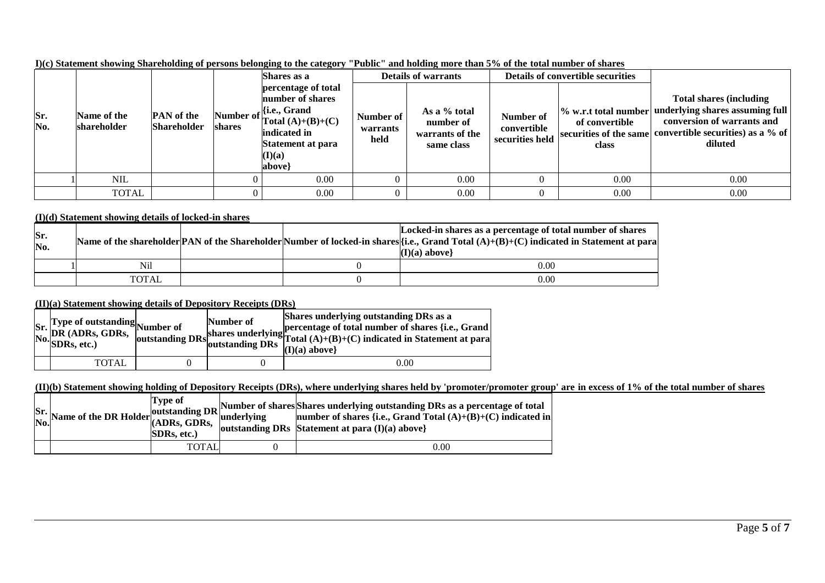|            |                            |                                         |        | Shares as a                                                                                                                                                      |                               | <b>Details of warrants</b>                                 |                                             | <b>Details of convertible securities</b> |                                                                                                                                                                                               |
|------------|----------------------------|-----------------------------------------|--------|------------------------------------------------------------------------------------------------------------------------------------------------------------------|-------------------------------|------------------------------------------------------------|---------------------------------------------|------------------------------------------|-----------------------------------------------------------------------------------------------------------------------------------------------------------------------------------------------|
| Sr.<br>No. | Name of the<br>shareholder | <b>PAN</b> of the<br><b>Shareholder</b> | shares | percentage of total<br>number of shares<br>Number of $\ \mathbf{H}\ $ .e., Grand<br>Total $(A)+(B)+(C)$<br>indicated in<br>Statement at para<br>(I)(a)<br> above | Number of<br>warrants<br>held | As a % total<br>number of<br>warrants of the<br>same class | Number of<br>convertible<br>securities held | of convertible<br>class                  | <b>Total shares (including)</b><br>W. w.r.t total number underlying shares assuming full<br>conversion of warrants and<br>securities of the same convertible securities) as a % of<br>diluted |
|            | NIL.                       |                                         |        | 0.00                                                                                                                                                             |                               | 0.00                                                       |                                             | 0.00                                     | 0.00                                                                                                                                                                                          |
|            | <b>TOTAL</b>               |                                         |        | 0.00                                                                                                                                                             |                               | 0.00                                                       |                                             | 0.00                                     | 0.00                                                                                                                                                                                          |

**I)(c) Statement showing Shareholding of persons belonging to the category "Public" and holding more than 5% of the total number of shares**

### **(I)(d) Statement showing details of locked-in shares**

| Sr.<br>No. |              |  | Locked-in shares as a percentage of total number of shares<br>Name of the shareholder PAN of the Shareholder Number of locked-in shares $[i.e., Grand Total (A)+(B)+(C) indicated in Statement at para]$<br>$(I)(a)$ above |
|------------|--------------|--|----------------------------------------------------------------------------------------------------------------------------------------------------------------------------------------------------------------------------|
|            | Nil          |  | 0.00                                                                                                                                                                                                                       |
|            | <b>TOTAL</b> |  | 0.00                                                                                                                                                                                                                       |

### **(II)(a) Statement showing details of Depository Receipts (DRs)**

| Sr. Type of outstanding<br>No. DR (ADRs, GDRs, outstanding<br>No. SDRs, etc.) | outstanding $DRs$ | Number of<br>outstanding DRs | Shares underlying outstanding DRs as a<br>shares underlying percentage of total number of shares {i.e., Grand s<br>shares underlying $\begin{bmatrix} \text{Total (A)+(B)+(C)} \text{ indicated in Statement at para} \end{bmatrix}$<br>$(I)(a)$ above |
|-------------------------------------------------------------------------------|-------------------|------------------------------|--------------------------------------------------------------------------------------------------------------------------------------------------------------------------------------------------------------------------------------------------------|
| <b>TOTAL</b>                                                                  |                   |                              | 0.00                                                                                                                                                                                                                                                   |

# **(II)(b) Statement showing holding of Depository Receipts (DRs), where underlying shares held by 'promoter/promoter group' are in excess of 1% of the total number of shares**

|  | <b>Type of</b><br><b>SDRs.</b> etc.) | $\begin{bmatrix} s_r \ s_r \ \text{Now} \end{bmatrix}$ Number of shares Shares underlying outstanding DRs as a percentage of total<br>No. Name of the DR Holder (ADRs, GDRs, underlying property of shares {i.e., Grand Total (A)+(B)+(C) indicated in<br>outstanding DRs Statement at para $(I)(a)$ above |
|--|--------------------------------------|------------------------------------------------------------------------------------------------------------------------------------------------------------------------------------------------------------------------------------------------------------------------------------------------------------|
|  | <b>TOTAL</b>                         | 0.00                                                                                                                                                                                                                                                                                                       |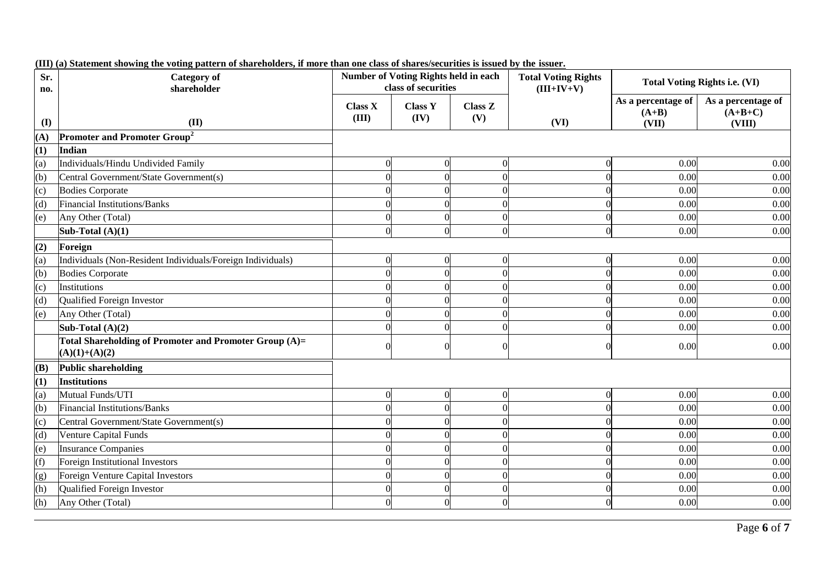| Sr.<br>no. | <b>Category of</b><br>shareholder                                         |                         | <b>Number of Voting Rights held in each</b><br>class of securities |                       | <b>Total Voting Rights</b><br>$(III+IV+V)$ |                                        | <b>Total Voting Rights i.e. (VI)</b>      |
|------------|---------------------------------------------------------------------------|-------------------------|--------------------------------------------------------------------|-----------------------|--------------------------------------------|----------------------------------------|-------------------------------------------|
| (I)        | (II)                                                                      | <b>Class X</b><br>(III) | <b>Class Y</b><br>(IV)                                             | <b>Class Z</b><br>(V) | (VI)                                       | As a percentage of<br>$(A+B)$<br>(VII) | As a percentage of<br>$(A+B+C)$<br>(VIII) |
| (A)        | <b>Promoter and Promoter Group<sup>2</sup></b>                            |                         |                                                                    |                       |                                            |                                        |                                           |
| (1)        | <b>Indian</b>                                                             |                         |                                                                    |                       |                                            |                                        |                                           |
| (a)        | Individuals/Hindu Undivided Family                                        |                         | $\theta$                                                           | $\theta$              | $\theta$                                   | 0.00                                   | 0.00                                      |
| (b)        | Central Government/State Government(s)                                    |                         | $\Omega$                                                           |                       | $\Omega$                                   | 0.00                                   | 0.00                                      |
| (c)        | <b>Bodies Corporate</b>                                                   |                         | $\theta$                                                           |                       | $\theta$                                   | 0.00                                   | 0.00                                      |
| (d)        | Financial Institutions/Banks                                              | $\Omega$                | $\Omega$                                                           | $\Omega$              | $\Omega$                                   | 0.00                                   | 0.00                                      |
| (e)        | Any Other (Total)                                                         |                         | $\Omega$                                                           | $\Omega$              | $\Omega$                                   | 0.00                                   | 0.00                                      |
|            | Sub-Total $(A)(1)$                                                        | $\Omega$                | $\mathbf{0}$                                                       | $\theta$              | $\mathbf{0}$                               | 0.00                                   | 0.00                                      |
| (2)        | Foreign                                                                   |                         |                                                                    |                       |                                            |                                        |                                           |
| (a)        | Individuals (Non-Resident Individuals/Foreign Individuals)                | $\Omega$                | $\mathbf{0}$                                                       | $\Omega$              | $\theta$                                   | 0.00                                   | 0.00                                      |
| (b)        | <b>Bodies Corporate</b>                                                   |                         | $\Omega$                                                           | $\Omega$              | $\theta$                                   | 0.00                                   | 0.00                                      |
| (c)        | Institutions                                                              | $\Omega$                | $\theta$                                                           | $\Omega$              | $\Omega$                                   | 0.00                                   | 0.00                                      |
| (d)        | Qualified Foreign Investor                                                |                         | $\Omega$                                                           | $\Omega$              | $\Omega$                                   | 0.00                                   | 0.00                                      |
| (e)        | Any Other (Total)                                                         |                         | $\Omega$                                                           | $\Omega$              | $\Omega$                                   | 0.00                                   | 0.00                                      |
|            | Sub-Total $(A)(2)$                                                        | $\Omega$                | $\Omega$                                                           | $\Omega$              | $\Omega$                                   | 0.00                                   | 0.00                                      |
|            | Total Shareholding of Promoter and Promoter Group (A)=<br>$(A)(1)+(A)(2)$ | $\Omega$                | $\theta$                                                           | $\Omega$              | $\Omega$                                   | 0.00                                   | 0.00                                      |
| (B)        | <b>Public shareholding</b>                                                |                         |                                                                    |                       |                                            |                                        |                                           |
| (1)        | Institutions                                                              |                         |                                                                    |                       |                                            |                                        |                                           |
| (a)        | Mutual Funds/UTI                                                          | $\Omega$                | $\mathbf{0}$                                                       | $\overline{0}$        | $\overline{0}$                             | 0.00                                   | 0.00                                      |
| (b)        | <b>Financial Institutions/Banks</b>                                       |                         | $\Omega$                                                           | $\Omega$              | $\Omega$                                   | 0.00                                   | 0.00                                      |
| (c)        | Central Government/State Government(s)                                    |                         | $\Omega$                                                           |                       | $\Omega$                                   | 0.00                                   | 0.00                                      |
| (d)        | Venture Capital Funds                                                     |                         | $\Omega$                                                           | 0                     | 0                                          | 0.00                                   | 0.00                                      |
| (e)        | <b>Insurance Companies</b>                                                |                         | $\Omega$                                                           |                       | $\Omega$                                   | 0.00                                   | 0.00                                      |
| (f)        | Foreign Institutional Investors                                           | $\Omega$                | $\theta$                                                           | $\Omega$              | $\theta$                                   | 0.00                                   | 0.00                                      |
| (g)        | Foreign Venture Capital Investors                                         | ſ                       | $\Omega$                                                           | $\Omega$              | $\Omega$                                   | 0.00                                   | 0.00                                      |
| (h)        | Qualified Foreign Investor                                                | ſ                       | $\Omega$                                                           | $\theta$              | $\theta$                                   | 0.00                                   | 0.00                                      |
| (h)        | Any Other (Total)                                                         |                         | $\Omega$                                                           | $\Omega$              | $\Omega$                                   | 0.00                                   | 0.00                                      |

### **(III) (a) Statement showing the voting pattern of shareholders, if more than one class of shares/securities is issued by the issuer.**